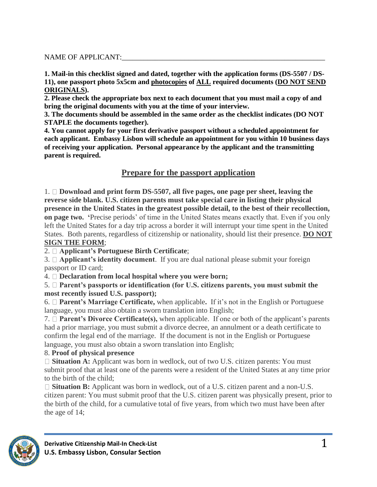#### NAME OF APPLICANT:

**1. Mail-in this checklist signed and dated, together with the application forms (DS-5507 / DS-11), one passport photo 5x5cm and photocopies of ALL required documents (DO NOT SEND ORIGINALS).**

**2. Please check the appropriate box next to each document that you must mail a copy of and bring the original documents with you at the time of your interview.**

**3. The documents should be assembled in the same order as the checklist indicates (DO NOT STAPLE the documents together).**

**4. You cannot apply for your first derivative passport without a scheduled appointment for each applicant. Embassy Lisbon will schedule an appointment for you within 10 business days of receiving your application. Personal appearance by the applicant and the transmitting parent is required.**

## **Prepare for the passport application**

1. **Download and print form DS-5507, all five pages, one page per sheet, leaving the reverse side blank. U.S. citizen parents must take special care in listing their physical presence in the United States in the greatest possible detail, to the best of their recollection, on page two. '**Precise periods' of time in the United States means exactly that. Even if you only left the United States for a day trip across a border it will interrupt your time spent in the United States. Both parents, regardless of citizenship or nationality, should list their presence. **DO NOT SIGN THE FORM**;

2. **Applicant's Portuguese Birth Certificate**;

3. **Applicant's identity document**. If you are dual national please submit your foreign passport or ID card;

4. **Declaration from local hospital where you were born;**

#### 5. **Parent's passports or identification (for U.S. citizens parents, you must submit the most recently issued U.S. passport);**

6. **Parent's Marriage Certificate,** when applicable**.** If it's not in the English or Portuguese language, you must also obtain a sworn translation into English;

7. **Parent's Divorce Certificate(s),** when applicable. If one or both of the applicant's parents had a prior marriage, you must submit a divorce decree, an annulment or a death certificate to confirm the legal end of the marriage. If the document is not in the English or Portuguese language, you must also obtain a sworn translation into English;

### 8. **Proof of physical presence**

□ **Situation A:** Applicant was born in wedlock, out of two U.S. citizen parents: You must submit proof that at least one of the parents were a resident of the United States at any time prior to the birth of the child;

□ **Situation B:** Applicant was born in wedlock, out of a U.S. citizen parent and a non-U.S. citizen parent: You must submit proof that the U.S. citizen parent was physically present, prior to the birth of the child, for a cumulative total of five years, from which two must have been after the age of 14;